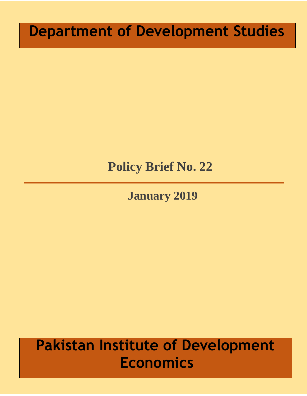# **Department of Development Studies**

# **Policy Brief No. 22**

**January 2019**

# **Pakistan Institute of Development Economics**